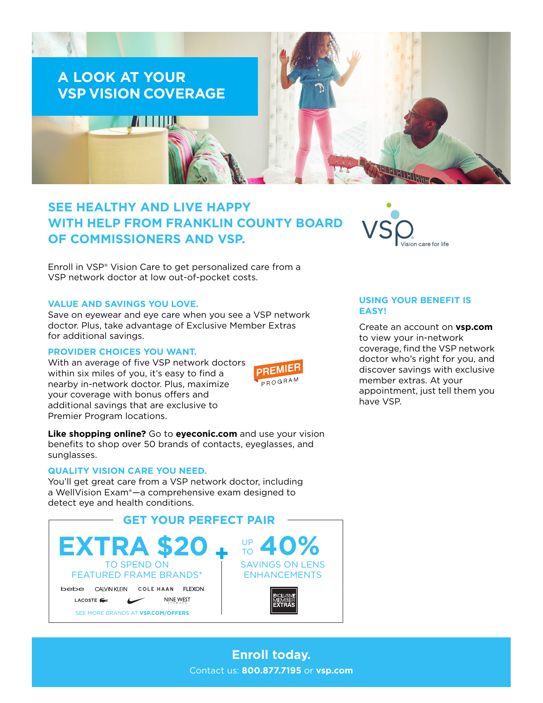

# **SEE HEALTHY AND LIVE HAPPY WITH HELP FROM FRANKLIN COUNTY BOARD OF COMMISSIONERS AND VSP.**

Enroll in VSP® Vision Care to get personalized care from a VSP network doctor at low out-of-pocket costs.

#### **VALUE AND SAVINGS YOU LOVE.**

Save on eyewear and eye care when you see a VSP network doctor. Plus, take advantage of Exclusive Member Extras for additional savings.

### **PROVIDER CHOICES YOU WANT.**

With an average of five VSP network doctors within six miles of you, it's easy to find a nearby in-network doctor. Plus, maximize your coverage with bonus offers and additional savings that are exclusive to Premier Program locations.



**Like shopping online?** Go to **[eyeconic.com](https://www.eyeconic.com)** and use your vision benefits to shop over 50 brands of contacts, eyeglasses, and sunglasses.

## **QUALITY VISION CARE YOU NEED.**

You'll get great care from a VSP network doctor, including a WellVision Exam®—a comprehensive exam designed to detect eye and health conditions.





# **USING YOUR BENEFIT IS EASY!**

Create an account on **[vsp.com](http://www.vsp.com)** to view your in-network coverage, find the VSP network doctor who's right for you, and discover savings with exclusive member extras. At your appointment, just tell them you have VSP.

**Enroll today.** Contact us: **800.877.7195** or **[vsp.com](http://www.vsp.com)**